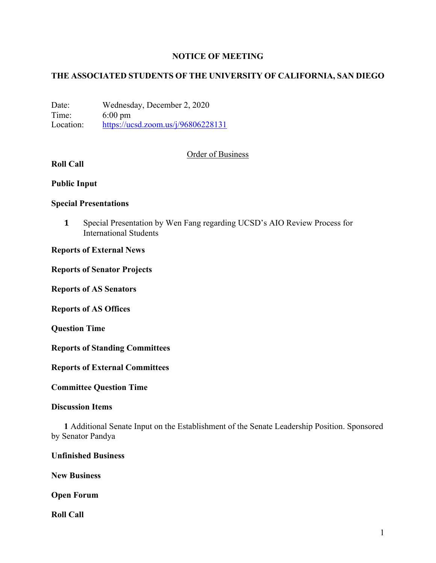## **NOTICE OF MEETING**

# **THE ASSOCIATED STUDENTS OF THE UNIVERSITY OF CALIFORNIA, SAN DIEGO**

Date: Wednesday, December 2, 2020 Time: 6:00 pm Location: https://ucsd.zoom.us/j/96806228131

### Order of Business

# **Roll Call**

### **Public Input**

### **Special Presentations**

**1** Special Presentation by Wen Fang regarding UCSD's AIO Review Process for International Students

### **Reports of External News**

**Reports of Senator Projects**

**Reports of AS Senators**

**Reports of AS Offices**

**Question Time**

**Reports of Standing Committees**

**Reports of External Committees**

**Committee Question Time**

#### **Discussion Items**

**1** Additional Senate Input on the Establishment of the Senate Leadership Position. Sponsored by Senator Pandya

### **Unfinished Business**

**New Business**

**Open Forum**

**Roll Call**